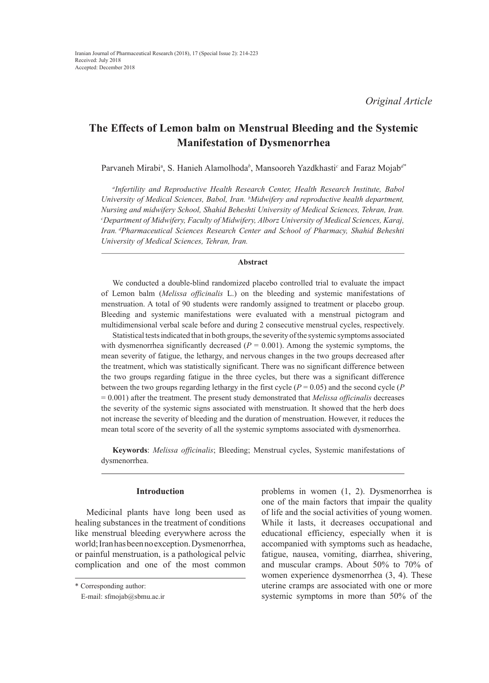# **The Effects of Lemon balm on Menstrual Bleeding and the Systemic Manifestation of Dysmenorrhea**

Parvaneh Mirabiª, S. Hanieh Alamolhoda<sup>b</sup>, Mansooreh Yazdkhasti<sup>c</sup> and Faraz Mojab<sup>a</sup>\*

*a Infertility and Reproductive Health Research Center, Health Research Institute, Babol University of Medical Sciences, Babol, Iran. b Midwifery and reproductive health department, Nursing and midwifery School, Shahid Beheshti University of Medical Sciences, Tehran, Iran. c Department of Midwifery, Faculty of Midwifery, Alborz University of Medical Sciences, Karaj, Iran. dPharmaceutical Sciences Research Center and School of Pharmacy, Shahid Beheshti University of Medical Sciences, Tehran, Iran.*

# **Abstract**

We conducted a double-blind randomized placebo controlled trial to evaluate the impact of Lemon balm (*Melissa officinalis* L.) on the bleeding and systemic manifestations of menstruation. A total of 90 students were randomly assigned to treatment or placebo group. Bleeding and systemic manifestations were evaluated with a menstrual pictogram and multidimensional verbal scale before and during 2 consecutive menstrual cycles, respectively.

Statistical tests indicated that in both groups, the severity of the systemic symptoms associated with dysmenorrhea significantly decreased  $(P = 0.001)$ . Among the systemic symptoms, the mean severity of fatigue, the lethargy, and nervous changes in the two groups decreased after the treatment, which was statistically significant. There was no significant difference between the two groups regarding fatigue in the three cycles, but there was a significant difference between the two groups regarding lethargy in the first cycle ( $P = 0.05$ ) and the second cycle ( $P$ = 0.001) after the treatment. The present study demonstrated that *Melissa officinalis* decreases the severity of the systemic signs associated with menstruation. It showed that the herb does not increase the severity of bleeding and the duration of menstruation. However, it reduces the mean total score of the severity of all the systemic symptoms associated with dysmenorrhea.

**Keywords**: *Melissa officinalis*; Bleeding; Menstrual cycles, Systemic manifestations of dysmenorrhea.

## **Introduction**

Medicinal plants have long been used as healing substances in the treatment of conditions like menstrual bleeding everywhere across the world; Iran has been no exception. Dysmenorrhea, or painful menstruation, is a pathological pelvic complication and one of the most common

problems in women (1, 2). Dysmenorrhea is one of the main factors that impair the quality of life and the social activities of young women. While it lasts, it decreases occupational and educational efficiency, especially when it is accompanied with symptoms such as headache, fatigue, nausea, vomiting, diarrhea, shivering, and muscular cramps. About 50% to 70% of women experience dysmenorrhea (3, 4). These uterine cramps are associated with one or more systemic symptoms in more than 50% of the

<sup>\*</sup> Corresponding author:

E-mail: sfmojab@sbmu.ac.ir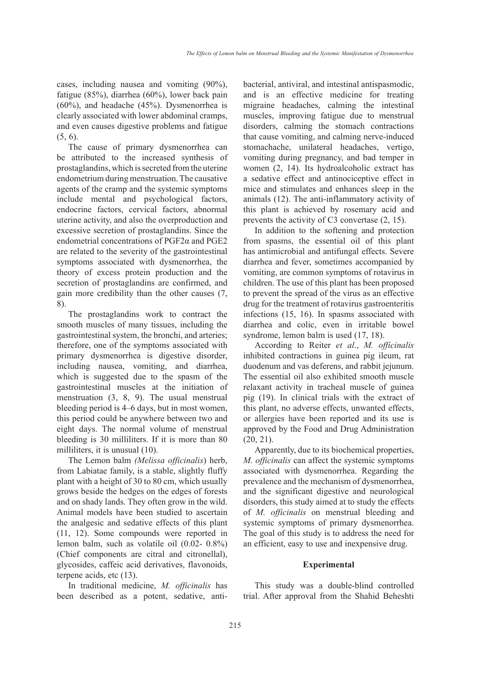cases, including nausea and vomiting (90%), fatigue (85%), diarrhea (60%), lower back pain (60%), and headache (45%). Dysmenorrhea is clearly associated with lower abdominal cramps, and even causes digestive problems and fatigue  $(5, 6)$ .

The cause of primary dysmenorrhea can be attributed to the increased synthesis of prostaglandins, which is secreted from the uterine endometrium during menstruation. The causative agents of the cramp and the systemic symptoms include mental and psychological factors, endocrine factors, cervical factors, abnormal uterine activity, and also the overproduction and excessive secretion of prostaglandins. Since the endometrial concentrations of PGF2α and PGE2 are related to the severity of the gastrointestinal symptoms associated with dysmenorrhea, the theory of excess protein production and the secretion of prostaglandins are confirmed, and gain more credibility than the other causes (7, 8).

The prostaglandins work to contract the smooth muscles of many tissues, including the gastrointestinal system, the bronchi, and arteries; therefore, one of the symptoms associated with primary dysmenorrhea is digestive disorder, including nausea, vomiting, and diarrhea, which is suggested due to the spasm of the gastrointestinal muscles at the initiation of menstruation (3, 8, 9). The usual menstrual bleeding period is 4–6 days, but in most women, this period could be anywhere between two and eight days. The normal volume of menstrual bleeding is 30 milliliters. If it is more than 80 milliliters, it is unusual (10).

The Lemon balm *(Melissa officinalis*) herb, from Labiatae family, is a stable, slightly fluffy plant with a height of 30 to 80 cm, which usually grows beside the hedges on the edges of forests and on shady lands. They often grow in the wild. Animal models have been studied to ascertain the analgesic and sedative effects of this plant (11, 12). Some compounds were reported in lemon balm, such as volatile oil (0.02- 0.8%) (Chief components are citral and citronellal), glycosides, caffeic acid derivatives, flavonoids, terpene acids, etc (13).

In traditional medicine, *M. officinalis* has been described as a potent, sedative, antibacterial, antiviral, and intestinal antispasmodic, and is an effective medicine for treating migraine headaches, calming the intestinal muscles, improving fatigue due to menstrual disorders, calming the stomach contractions that cause vomiting, and calming nerve-induced stomachache, unilateral headaches, vertigo, vomiting during pregnancy, and bad temper in women (2, 14). Its hydroalcoholic extract has a sedative effect and antinociceptive effect in mice and stimulates and enhances sleep in the animals (12). The anti-inflammatory activity of this plant is achieved by rosemary acid and prevents the activity of C3 convertase (2, 15).

In addition to the softening and protection from spasms, the essential oil of this plant has antimicrobial and antifungal effects. Severe diarrhea and fever, sometimes accompanied by vomiting, are common symptoms of rotavirus in children. The use of this plant has been proposed to prevent the spread of the virus as an effective drug for the treatment of rotavirus gastroenteritis infections (15, 16). In spasms associated with diarrhea and colic, even in irritable bowel syndrome, lemon balm is used (17, 18).

According to Reiter *et al*., *M. officinalis*  inhibited contractions in guinea pig ileum, rat duodenum and vas deferens, and rabbit jejunum. The essential oil also exhibited smooth muscle relaxant activity in tracheal muscle of guinea pig (19). In clinical trials with the extract of this plant, no adverse effects, unwanted effects, or allergies have been reported and its use is approved by the Food and Drug Administration (20, 21).

Apparently, due to its biochemical properties, *M. officinalis* can affect the systemic symptoms associated with dysmenorrhea. Regarding the prevalence and the mechanism of dysmenorrhea, and the significant digestive and neurological disorders, this study aimed at to study the effects of *M. officinalis* on menstrual bleeding and systemic symptoms of primary dysmenorrhea. The goal of this study is to address the need for an efficient, easy to use and inexpensive drug.

# **Experimental**

This study was a double-blind controlled trial. After approval from the Shahid Beheshti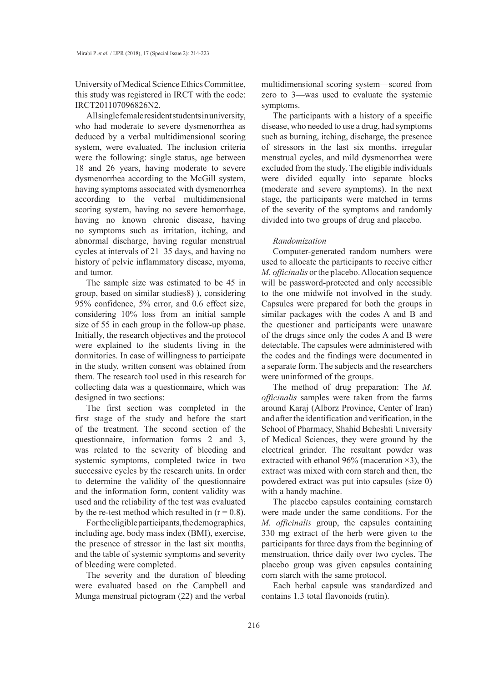University of Medical Science Ethics Committee, this study was registered in IRCT with the code: IRCT201107096826N2.

All single female resident students in university, who had moderate to severe dysmenorrhea as deduced by a verbal multidimensional scoring system, were evaluated. The inclusion criteria were the following: single status, age between 18 and 26 years, having moderate to severe dysmenorrhea according to the McGill system, having symptoms associated with dysmenorrhea according to the verbal multidimensional scoring system, having no severe hemorrhage, having no known chronic disease, having no symptoms such as irritation, itching, and abnormal discharge, having regular menstrual cycles at intervals of 21–35 days, and having no history of pelvic inflammatory disease, myoma, and tumor.

The sample size was estimated to be 45 in group, based on similar studies8( ), considering 95% confidence, 5% error, and 0.6 effect size, considering 10% loss from an initial sample size of 55 in each group in the follow-up phase. Initially, the research objectives and the protocol were explained to the students living in the dormitories. In case of willingness to participate in the study, written consent was obtained from them. The research tool used in this research for collecting data was a questionnaire, which was designed in two sections:

The first section was completed in the first stage of the study and before the start of the treatment. The second section of the questionnaire, information forms 2 and 3, was related to the severity of bleeding and systemic symptoms, completed twice in two successive cycles by the research units. In order to determine the validity of the questionnaire and the information form, content validity was used and the reliability of the test was evaluated by the re-test method which resulted in  $(r = 0.8)$ .

For the eligible participants, the demographics, including age, body mass index (BMI), exercise, the presence of stressor in the last six months, and the table of systemic symptoms and severity of bleeding were completed.

The severity and the duration of bleeding were evaluated based on the Campbell and Munga menstrual pictogram (22) and the verbal

multidimensional scoring system—scored from zero to 3—was used to evaluate the systemic symptoms.

The participants with a history of a specific disease, who needed to use a drug, had symptoms such as burning, itching, discharge, the presence of stressors in the last six months, irregular menstrual cycles, and mild dysmenorrhea were excluded from the study. The eligible individuals were divided equally into separate blocks (moderate and severe symptoms). In the next stage, the participants were matched in terms of the severity of the symptoms and randomly divided into two groups of drug and placebo.

### *Randomization*

Computer-generated random numbers were used to allocate the participants to receive either *M. officinalis* or the placebo. Allocation sequence will be password-protected and only accessible to the one midwife not involved in the study. Capsules were prepared for both the groups in similar packages with the codes A and B and the questioner and participants were unaware of the drugs since only the codes A and B were detectable. The capsules were administered with the codes and the findings were documented in a separate form. The subjects and the researchers were uninformed of the groups.

The method of drug preparation: The *M. officinalis* samples were taken from the farms around Karaj (Alborz Province, Center of Iran) and after the identification and verification, in the School of Pharmacy, Shahid Beheshti University of Medical Sciences, they were ground by the electrical grinder. The resultant powder was extracted with ethanol 96% (maceration  $\times$ 3), the extract was mixed with corn starch and then, the powdered extract was put into capsules (size 0) with a handy machine.

The placebo capsules containing cornstarch were made under the same conditions. For the *M. officinalis* group, the capsules containing 330 mg extract of the herb were given to the participants for three days from the beginning of menstruation, thrice daily over two cycles. The placebo group was given capsules containing corn starch with the same protocol.

Each herbal capsule was standardized and contains 1.3 total flavonoids (rutin).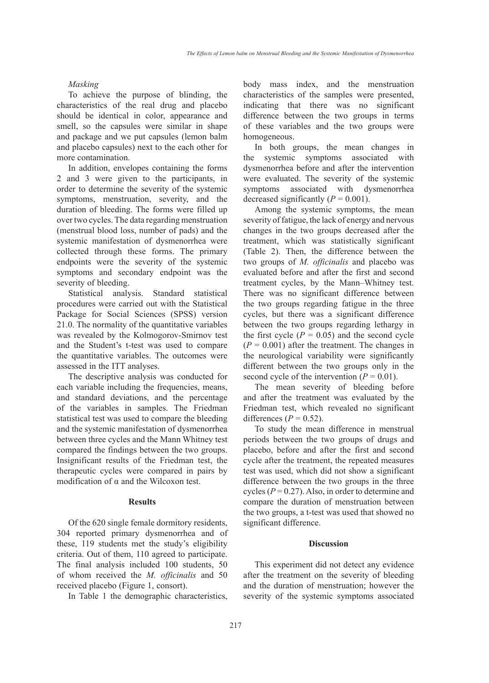## *Masking*

To achieve the purpose of blinding, the characteristics of the real drug and placebo should be identical in color, appearance and smell, so the capsules were similar in shape and package and we put capsules (lemon balm and placebo capsules) next to the each other for more contamination.

In addition, envelopes containing the forms 2 and 3 were given to the participants, in order to determine the severity of the systemic symptoms, menstruation, severity, and the duration of bleeding. The forms were filled up over two cycles. The data regarding menstruation (menstrual blood loss, number of pads) and the systemic manifestation of dysmenorrhea were collected through these forms. The primary endpoints were the severity of the systemic symptoms and secondary endpoint was the severity of bleeding.

Statistical analysis. Standard statistical procedures were carried out with the Statistical Package for Social Sciences (SPSS) version 21.0. The normality of the quantitative variables was revealed by the Kolmogorov-Smirnov test and the Student's t-test was used to compare the quantitative variables. The outcomes were assessed in the ITT analyses.

The descriptive analysis was conducted for each variable including the frequencies, means, and standard deviations, and the percentage of the variables in samples. The Friedman statistical test was used to compare the bleeding and the systemic manifestation of dysmenorrhea between three cycles and the Mann Whitney test compared the findings between the two groups. Insignificant results of the Friedman test, the therapeutic cycles were compared in pairs by modification of  $\alpha$  and the Wilcoxon test.

# **Results**

Of the 620 single female dormitory residents, 304 reported primary dysmenorrhea and of these, 119 students met the study's eligibility criteria. Out of them, 110 agreed to participate. The final analysis included 100 students, 50 of whom received the *M. officinalis* and 50 received placebo (Figure 1, consort).

In Table 1 the demographic characteristics,

body mass index, and the menstruation characteristics of the samples were presented, indicating that there was no significant difference between the two groups in terms of these variables and the two groups were homogeneous.

In both groups, the mean changes in the systemic symptoms associated with dysmenorrhea before and after the intervention were evaluated. The severity of the systemic symptoms associated with dysmenorrhea decreased significantly  $(P = 0.001)$ .

Among the systemic symptoms, the mean severity of fatigue, the lack of energy and nervous changes in the two groups decreased after the treatment, which was statistically significant (Table 2). Then, the difference between the two groups of *M. officinalis* and placebo was evaluated before and after the first and second treatment cycles, by the Mann–Whitney test. There was no significant difference between the two groups regarding fatigue in the three cycles, but there was a significant difference between the two groups regarding lethargy in the first cycle  $(P = 0.05)$  and the second cycle  $(P = 0.001)$  after the treatment. The changes in the neurological variability were significantly different between the two groups only in the second cycle of the intervention  $(P = 0.01)$ .

The mean severity of bleeding before and after the treatment was evaluated by the Friedman test, which revealed no significant differences  $(P = 0.52)$ .

To study the mean difference in menstrual periods between the two groups of drugs and placebo, before and after the first and second cycle after the treatment, the repeated measures test was used, which did not show a significant difference between the two groups in the three cycles  $(P = 0.27)$ . Also, in order to determine and compare the duration of menstruation between the two groups, a t-test was used that showed no significant difference.

## **Discussion**

This experiment did not detect any evidence after the treatment on the severity of bleeding and the duration of menstruation; however the severity of the systemic symptoms associated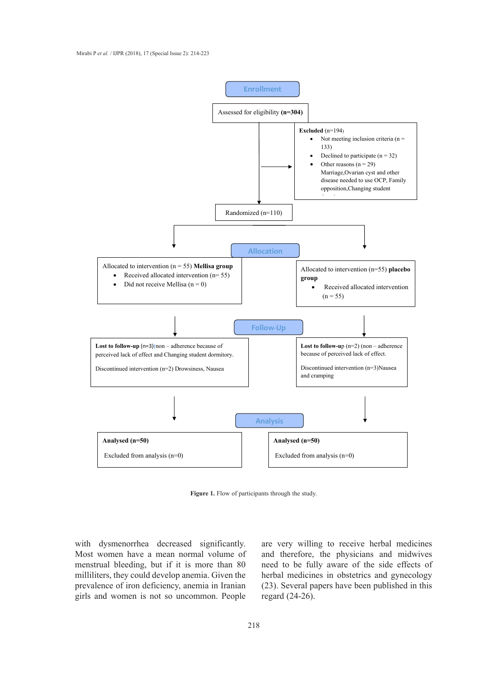

**Figure 1.** Flow of participants through the study **Figure 1.** Flow of participants through the study.

with dysmenorrhea decreased significantly. Most women have a mean normal volume of menstrual bleeding, but if it is more than 80 milliliters, they could develop anemia. Given the prevalence of iron deficiency, anemia in Iranian girls and women is not so uncommon. People

are very willing to receive herbal medicines and therefore, the physicians and midwives need to be fully aware of the side effects of herbal medicines in obstetrics and gynecology (23). Several papers have been published in this regard (24-26).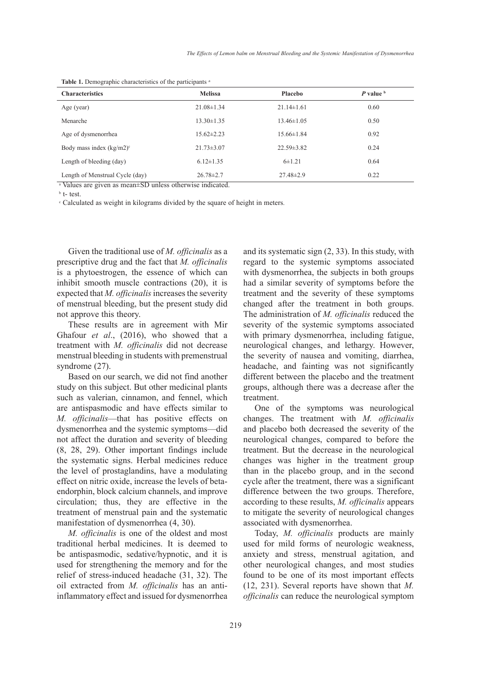| <b>Melissa</b><br><b>Placebo</b> |                  | $P$ value $b$ |  |  |  |  |
|----------------------------------|------------------|---------------|--|--|--|--|
| $21.08 \pm 1.34$                 | $21.14 \pm 1.61$ | 0.60          |  |  |  |  |
| $13.30 \pm 1.35$                 | $13.46 \pm 1.05$ | 0.50          |  |  |  |  |
| $15.62 \pm 2.23$                 | $15.66 \pm 1.84$ | 0.92          |  |  |  |  |
| $21.73 \pm 3.07$                 | $22.59 \pm 3.82$ | 0.24          |  |  |  |  |
| $6.12 \pm 1.35$                  | $6 \pm 1.21$     | 0.64          |  |  |  |  |
| $26.78 \pm 2.7$                  | $27.48 \pm 2.9$  | 0.22          |  |  |  |  |
|                                  |                  |               |  |  |  |  |

Table 1. Demographic characteristics of the participants.<sup>3</sup>

<sup>a</sup> Values are given as mean±SD unless otherwise indicated.

b t- test.

c Calculated as weight in kilograms divided by the square of height in meters.

Given the traditional use of *M. officinalis* as a prescriptive drug and the fact that *M. officinalis* is a phytoestrogen, the essence of which can inhibit smooth muscle contractions (20), it is expected that *M. officinalis* increases the severity of menstrual bleeding, but the present study did not approve this theory.

These results are in agreement with Mir Ghafour *et al*., (2016), who showed that a treatment with *M. officinalis* did not decrease menstrual bleeding in students with premenstrual syndrome (27).

Based on our search, we did not find another study on this subject. But other medicinal plants such as valerian, cinnamon, and fennel, which are antispasmodic and have effects similar to *M. officinalis*—that has positive effects on dysmenorrhea and the systemic symptoms—did not affect the duration and severity of bleeding (8, 28, 29). Other important findings include the systematic signs. Herbal medicines reduce the level of prostaglandins, have a modulating effect on nitric oxide, increase the levels of betaendorphin, block calcium channels, and improve circulation; thus, they are effective in the treatment of menstrual pain and the systematic manifestation of dysmenorrhea (4, 30).

*M. officinalis* is one of the oldest and most traditional herbal medicines. It is deemed to be antispasmodic, sedative/hypnotic, and it is used for strengthening the memory and for the relief of stress-induced headache (31, 32). The oil extracted from *M. officinalis* has an antiinflammatory effect and issued for dysmenorrhea and its systematic sign (2, 33). In this study, with regard to the systemic symptoms associated with dysmenorrhea, the subjects in both groups had a similar severity of symptoms before the treatment and the severity of these symptoms changed after the treatment in both groups. The administration of *M. officinalis* reduced the severity of the systemic symptoms associated with primary dysmenorrhea, including fatigue, neurological changes, and lethargy. However, the severity of nausea and vomiting, diarrhea, headache, and fainting was not significantly different between the placebo and the treatment groups, although there was a decrease after the treatment.

One of the symptoms was neurological changes. The treatment with *M. officinalis* and placebo both decreased the severity of the neurological changes, compared to before the treatment. But the decrease in the neurological changes was higher in the treatment group than in the placebo group, and in the second cycle after the treatment, there was a significant difference between the two groups. Therefore, according to these results, *M. officinalis* appears to mitigate the severity of neurological changes associated with dysmenorrhea.

Today, *M. officinalis* products are mainly used for mild forms of neurologic weakness, anxiety and stress, menstrual agitation, and other neurological changes, and most studies found to be one of its most important effects (12, 231). Several reports have shown that *M. officinalis* can reduce the neurological symptom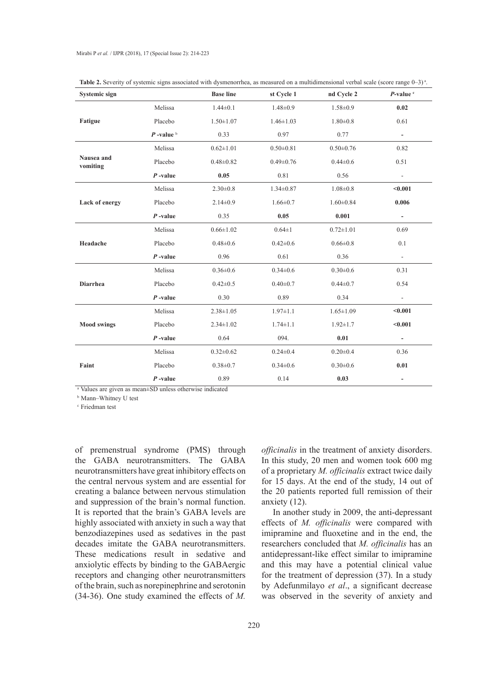| Systemic sign          |                          | <b>Base line</b> | st Cycle 1      | nd Cycle 2      | $P$ -value $\cdot$       |
|------------------------|--------------------------|------------------|-----------------|-----------------|--------------------------|
| Fatigue                | Melissa                  | $1.44 \pm 0.1$   | $1.48 \pm 0.9$  | $1.58 \pm 0.9$  | 0.02                     |
|                        | Placebo                  | $1.50 \pm 1.07$  | $1.46 \pm 1.03$ | $1.80 \pm 0.8$  | 0.61                     |
|                        | $P$ -value $\frac{b}{2}$ | 0.33             | 0.97            | 0.77            | $\blacksquare$           |
| Nausea and<br>vomiting | Melissa                  | $0.62 \pm 1.01$  | $0.50 \pm 0.81$ | $0.50 \pm 0.76$ | 0.82                     |
|                        | Placebo                  | $0.48 \pm 0.82$  | $0.49 \pm 0.76$ | $0.44 \pm 0.6$  | 0.51                     |
|                        | $P$ -value               | 0.05             | 0.81            | 0.56            | $\blacksquare$           |
| Lack of energy         | Melissa                  | $2.30 \pm 0.8$   | $1.34 \pm 0.87$ | $1.08 \pm 0.8$  | < 0.001                  |
|                        | Placebo                  | $2.14 \pm 0.9$   | $1.66 \pm 0.7$  | $1.60 \pm 0.84$ | 0.006                    |
|                        | $P$ -value               | 0.35             | 0.05            | 0.001           | $\blacksquare$           |
| Headache               | Melissa                  | $0.66 \pm 1.02$  | $0.64 \pm 1$    | $0.72 \pm 1.01$ | 0.69                     |
|                        | Placebo                  | $0.48 \pm 0.6$   | $0.42 \pm 0.6$  | $0.66 \pm 0.8$  | 0.1                      |
|                        | $P$ -value               | 0.96             | 0.61            | 0.36            | $\sim$                   |
| <b>Diarrhea</b>        | Melissa                  | $0.36 \pm 0.6$   | $0.34 \pm 0.6$  | $0.30 \pm 0.6$  | 0.31                     |
|                        | Placebo                  | $0.42 \pm 0.5$   | $0.40 + 0.7$    | $0.44 \pm 0.7$  | 0.54                     |
|                        | $P$ -value               | 0.30             | 0.89            | 0.34            | $\overline{\phantom{a}}$ |
| <b>Mood swings</b>     | Melissa                  | $2.38 \pm 1.05$  | $1.97 \pm 1.1$  | $1.65 \pm 1.09$ | < 0.001                  |
|                        | Placebo                  | $2.34 \pm 1.02$  | $1.74 \pm 1.1$  | $1.92 \pm 1.7$  | < 0.001                  |
|                        | $P$ -value               | 0.64             | 094.            | 0.01            | $\overline{\phantom{0}}$ |
| Faint                  | Melissa                  | $0.32 \pm 0.62$  | $0.24 \pm 0.4$  | $0.20 \pm 0.4$  | 0.36                     |
|                        | Placebo                  | $0.38 + 0.7$     | $0.34 \pm 0.6$  | $0.30 \pm 0.6$  | 0.01                     |
|                        | $P$ -value               | 0.89             | 0.14            | 0.03            | $\overline{\phantom{a}}$ |

Table 2. Severity of systemic signs associated with dysmenorrhea, as measured on a multidimensional verbal scale (score range 0–3)<sup>a</sup>.

a Values are given as mean±SD unless otherwise indicated

b Mann–Whitney U test

c Friedman test

of premenstrual syndrome (PMS) through the GABA neurotransmitters. The GABA neurotransmitters have great inhibitory effects on the central nervous system and are essential for creating a balance between nervous stimulation and suppression of the brain's normal function. It is reported that the brain's GABA levels are highly associated with anxiety in such a way that benzodiazepines used as sedatives in the past decades imitate the GABA neurotransmitters. These medications result in sedative and anxiolytic effects by binding to the GABAergic receptors and changing other neurotransmitters of the brain, such as norepinephrine and serotonin (34-36). One study examined the effects of *M.* 

*officinalis* in the treatment of anxiety disorders. In this study, 20 men and women took 600 mg of a proprietary *M. officinalis* extract twice daily for 15 days. At the end of the study, 14 out of the 20 patients reported full remission of their anxiety (12).

In another study in 2009, the anti-depressant effects of *M. officinalis* were compared with imipramine and fluoxetine and in the end, the researchers concluded that *M. officinalis* has an antidepressant-like effect similar to imipramine and this may have a potential clinical value for the treatment of depression (37). In a study by Adefunmilayo *et al*., a significant decrease was observed in the severity of anxiety and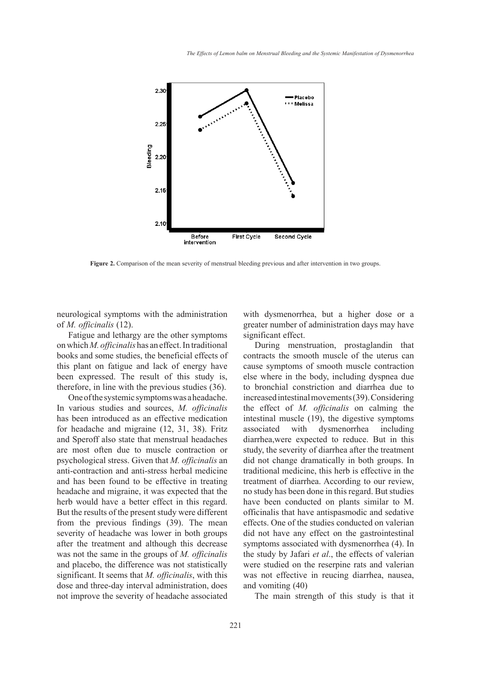

**Figure 2.** Comparison of the mean severity of menstrual bleeding previous and after intervention in two groups.

neurological symptoms with the administration of *M. officinalis* (12).

Fatigue and lethargy are the other symptoms on which *M. officinalis* has an effect. In traditional books and some studies, the beneficial effects of this plant on fatigue and lack of energy have been expressed. The result of this study is, therefore, in line with the previous studies (36).

One of the systemic symptoms was a headache. In various studies and sources, *M. officinalis* has been introduced as an effective medication for headache and migraine (12, 31, 38). Fritz and Speroff also state that menstrual headaches are most often due to muscle contraction or psychological stress. Given that *M. officinalis* an anti-contraction and anti-stress herbal medicine and has been found to be effective in treating headache and migraine, it was expected that the herb would have a better effect in this regard. But the results of the present study were different from the previous findings (39). The mean severity of headache was lower in both groups after the treatment and although this decrease was not the same in the groups of *M. officinalis* and placebo, the difference was not statistically significant. It seems that *M. officinalis*, with this dose and three-day interval administration, does not improve the severity of headache associated with dysmenorrhea, but a higher dose or a greater number of administration days may have significant effect.

During menstruation, prostaglandin that contracts the smooth muscle of the uterus can cause symptoms of smooth muscle contraction else where in the body, including dyspnea due to bronchial constriction and diarrhea due to increased intestinal movements (39). Considering the effect of *M. officinalis* on calming the intestinal muscle (19), the digestive symptoms associated with dysmenorrhea including diarrhea,were expected to reduce. But in this study, the severity of diarrhea after the treatment did not change dramatically in both groups. In traditional medicine, this herb is effective in the treatment of diarrhea. According to our review, no study has been done in this regard. But studies have been conducted on plants similar to M. officinalis that have antispasmodic and sedative effects. One of the studies conducted on valerian did not have any effect on the gastrointestinal symptoms associated with dysmenorrhea (4). In the study by Jafari *et al*., the effects of valerian were studied on the reserpine rats and valerian was not effective in reucing diarrhea, nausea, and vomiting (40)

The main strength of this study is that it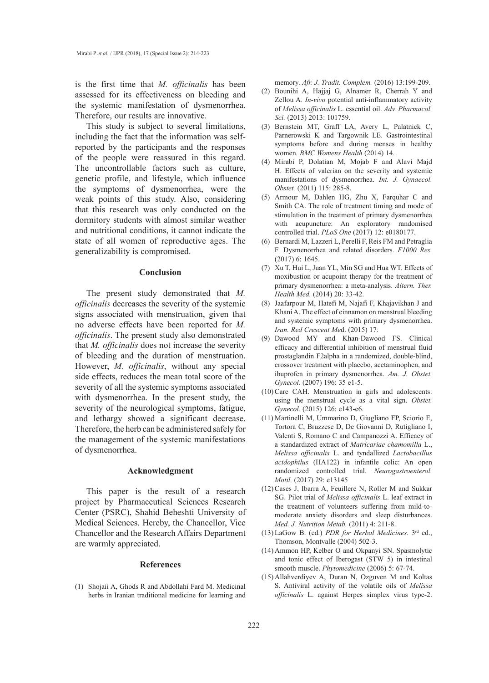is the first time that *M. officinalis* has been assessed for its effectiveness on bleeding and the systemic manifestation of dysmenorrhea. Therefore, our results are innovative.

This study is subject to several limitations, including the fact that the information was selfreported by the participants and the responses of the people were reassured in this regard. The uncontrollable factors such as culture, genetic profile, and lifestyle, which influence the symptoms of dysmenorrhea, were the weak points of this study. Also, considering that this research was only conducted on the dormitory students with almost similar weather and nutritional conditions, it cannot indicate the state of all women of reproductive ages. The generalizability is compromised.

#### **Conclusion**

The present study demonstrated that *M. officinalis* decreases the severity of the systemic signs associated with menstruation, given that no adverse effects have been reported for *M. officinalis*. The present study also demonstrated that *M. officinalis* does not increase the severity of bleeding and the duration of menstruation. However, *M. officinalis*, without any special side effects, reduces the mean total score of the severity of all the systemic symptoms associated with dysmenorrhea. In the present study, the severity of the neurological symptoms, fatigue, and lethargy showed a significant decrease. Therefore, the herb can be administered safely for the management of the systemic manifestations of dysmenorrhea.

### **Acknowledgment**

This paper is the result of a research project by Pharmaceutical Sciences Research Center (PSRC), Shahid Beheshti University of Medical Sciences. Hereby, the Chancellor, Vice Chancellor and the Research Affairs Department are warmly appreciated.

## **References**

Shojaii A, Ghods R and Abdollahi Fard M. Medicinal (1)herbs in Iranian traditional medicine for learning and

memory. *Afr. J. Tradit. Complem.* (2016) 13:199-209.

- Bounihi A, Hajjaj G, Alnamer R, Cherrah Y and Zellou A. *In-vivo* potential anti-inflammatory activity of *Melissa officinalis* L. essential oil. *Adv. Pharmacol. Sci.* (2013) 2013: 101759. (2)
- (3) Bernstein MT, Graff LA, Avery L, Palatnick C, Parnerowski K and Targownik LE. Gastrointestinal symptoms before and during menses in healthy women. *BMC Womens Health* (2014) 14.
- Mirabi P, Dolatian M, Mojab F and Alavi Majd (4) H. Effects of valerian on the severity and systemic manifestations of dysmenorrhea. *Int. J. Gynaecol. Obstet.* (2011) 115: 285-8.
- Armour M, Dahlen HG, Zhu X, Farquhar C and (5) Smith CA. The role of treatment timing and mode of stimulation in the treatment of primary dysmenorrhea with acupuncture: An exploratory randomised controlled trial. *PLoS One* (2017) 12: e0180177.
- (6) Bernardi M, Lazzeri L, Perelli F, Reis FM and Petraglia F. Dysmenorrhea and related disorders. *F1000 Res.* (2017) 6: 1645.
- (7) Xu T, Hui L, Juan YL, Min SG and Hua WT. Effects of moxibustion or acupoint therapy for the treatment of primary dysmenorrhea: a meta-analysis. *Altern. Ther. Health Med.* (2014) 20: 33-42.
- (8) Jaafarpour M, Hatefi M, Najafi F, Khajavikhan J and Khani A. The effect of cinnamon on menstrual bleeding and systemic symptoms with primary dysmenorrhea. *Iran. Red Crescent Me*d. (2015) 17:
- (9) Dawood MY and Khan-Dawood FS. Clinical efficacy and differential inhibition of menstrual fluid prostaglandin F2alpha in a randomized, double-blind, crossover treatment with placebo, acetaminophen, and ibuprofen in primary dysmenorrhea. *Am. J. Obstet. Gynecol.* (2007) 196: 35 e1-5.
- $(10)$  Care CAH. Menstruation in girls and adolescents: using the menstrual cycle as a vital sign. *Obstet. Gynecol.* (2015) 126: e143-e6.
- (11) Martinelli M, Ummarino D, Giugliano FP, Sciorio E, Tortora C, Bruzzese D, De Giovanni D, Rutigliano I, Valenti S, Romano C and Campanozzi A. Efficacy of a standardized extract of *Matricariae chamomilla* L., *Melissa officinalis* L. and tyndallized *Lactobacillus acidophilus* (HA122) in infantile colic: An open randomized controlled trial. *Neurogastroenterol. Motil.* (2017) 29: e13145
- (12) Cases J, Ibarra A, Feuillere N, Roller M and Sukkar SG. Pilot trial of *Melissa officinalis* L. leaf extract in the treatment of volunteers suffering from mild-tomoderate anxiety disorders and sleep disturbances. *Med. J. Nutrition Metab.* (2011) 4: 211-8.
- (13) LaGow B. (ed.) *PDR for Herbal Medicines*. 3<sup>rd</sup> ed., Thomson, Montvalle (2004) 502-3.
- (14) Ammon HP, Kelber O and Okpanyi SN. Spasmolytic and tonic effect of Iberogast (STW 5) in intestinal smooth muscle. *Phytomedicine* (2006) 5: 67-74.
- (15) Allahverdiyev A, Duran N, Ozguven M and Koltas S. Antiviral activity of the volatile oils of *Melissa officinalis* L. against Herpes simplex virus type-2.